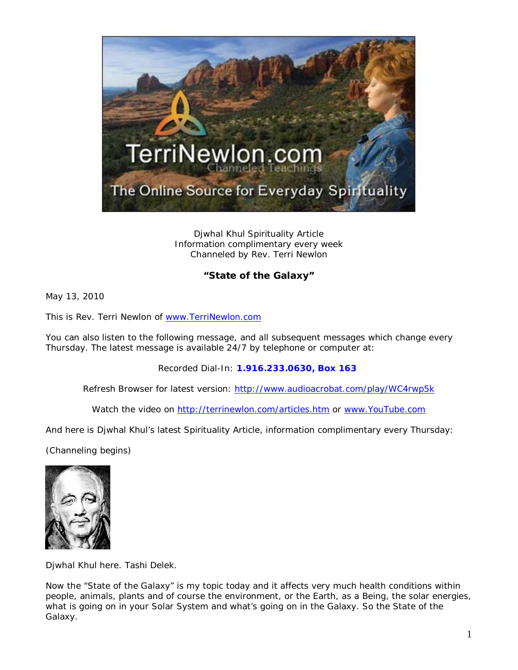

Djwhal Khul Spirituality Article Information complimentary every week Channeled by Rev. Terri Newlon

## **"State of the Galaxy"**

May 13, 2010

This is Rev. Terri Newlon of [www.TerriNewlon.com](http://www.terrinewlon.com/)

You can also listen to the following message, and all subsequent messages which change every Thursday. The latest message is available 24/7 by telephone or computer at:

Recorded Dial-In: **1.916.233.0630, Box 163**

Refresh Browser for latest version: <http://www.audioacrobat.com/play/WC4rwp5k>

Watch the video on<http://terrinewlon.com/articles.htm> or [www.YouTube.com](http://www.youtube.com/)

And here is Djwhal Khul's latest Spirituality Article, information complimentary every Thursday:

(Channeling begins)



Djwhal Khul here. Tashi Delek.

Now the "State of the Galaxy" is my topic today and it affects very much health conditions within people, animals, plants and of course the environment, or the Earth, as a Being, the solar energies, what is going on in your Solar System and what's going on in the Galaxy. So the State of the Galaxy.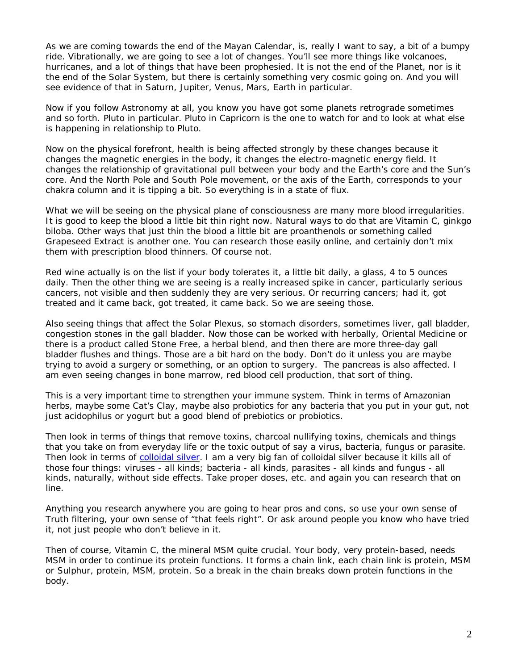As we are coming towards the end of the Mayan Calendar, is, really I want to say, a bit of a bumpy ride. Vibrationally, we are going to see a lot of changes. You'll see more things like volcanoes, hurricanes, and a lot of things that have been prophesied. It is not the end of the Planet, nor is it the end of the Solar System, but there is certainly something very cosmic going on. And you will see evidence of that in Saturn, Jupiter, Venus, Mars, *Earth* in particular.

Now if you follow Astronomy at all, you know you have got some planets retrograde sometimes and so forth. Pluto in particular. Pluto in Capricorn is the one to watch for and to look at what else is happening in relationship to Pluto.

Now on the physical forefront, health is being affected strongly by these changes because it changes the magnetic energies in the body, it changes the electro-magnetic energy field. It changes the relationship of gravitational pull between your body and the Earth's core and the Sun's core. And the North Pole and South Pole movement, or the axis of the Earth, corresponds to your chakra column and it is tipping a bit. So everything is in a state of flux.

What we will be seeing on the physical plane of consciousness are many more blood irregularities. It is good to keep the blood a little bit thin right now. Natural ways to do that are Vitamin C, ginkgo biloba. Other ways that just thin the blood a little bit are proanthenols or something called Grapeseed Extract is another one. You can research those easily online, and certainly don't mix them with prescription blood thinners. Of course not.

Red wine actually is on the list if your body tolerates it, a little bit daily, a glass, 4 to 5 ounces daily. Then the other thing we are seeing is a really increased spike in cancer, particularly serious cancers, not visible and then suddenly they are very serious. Or recurring cancers; had it, got treated and it came back, got treated, it came back. So we are seeing those.

Also seeing things that affect the Solar Plexus, so stomach disorders, sometimes liver, gall bladder, congestion stones in the gall bladder. Now those can be worked with herbally, Oriental Medicine or there is a product called Stone Free, a herbal blend, and then there are more three-day gall bladder flushes and things. Those are a bit hard on the body. Don't do it unless you are maybe trying to avoid a surgery or something, or an option to surgery. The pancreas is also affected. I am even seeing changes in bone marrow, red blood cell production, that sort of thing.

This is a very important time to strengthen your immune system. Think in terms of Amazonian herbs, maybe some Cat's Clay, maybe also probiotics for any bacteria that you put in your gut, not just acidophilus or yogurt but a good blend of prebiotics or probiotics.

Then look in terms of things that remove toxins, charcoal nullifying toxins, chemicals and things that you take on from everyday life or the toxic output of say a virus, bacteria, fungus or parasite. Then look in terms of [colloidal silver.](http://www.terrinewlon.com/links.htm) I am a very big fan of colloidal silver because it kills all of those four things: viruses - all kinds; bacteria - all kinds, parasites - all kinds and fungus - all kinds, naturally, without side effects. Take proper doses, etc. and again you can research that on line.

Anything you research anywhere you are going to hear pros and cons, so use your own sense of Truth filtering, your own sense of "that feels right". Or ask around people you know who have tried it, not just people who don't believe in it.

Then of course, Vitamin C, the mineral MSM quite crucial. Your body, very protein-based, needs MSM in order to continue its protein functions. It forms a chain link, each chain link is protein, MSM or Sulphur, protein, MSM, protein. So a break in the chain breaks down protein functions in the body.